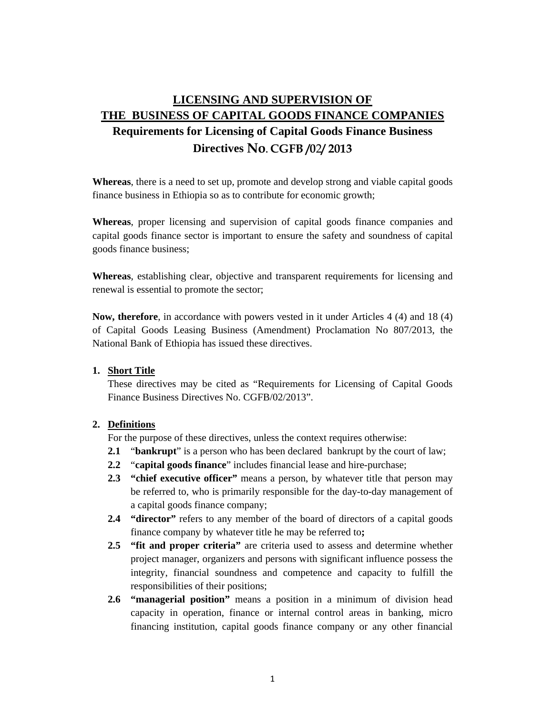# **LICENSING AND SUPERVISION OF THE BUSINESS OF CAPITAL GOODS FINANCE COMPANIES**

## **Requirements for Licensing of Capital Goods Finance Business Directives No. CGFB /0**2**/ 2013**

**Whereas**, there is a need to set up, promote and develop strong and viable capital goods finance business in Ethiopia so as to contribute for economic growth;

**Whereas**, proper licensing and supervision of capital goods finance companies and capital goods finance sector is important to ensure the safety and soundness of capital goods finance business;

**Whereas**, establishing clear, objective and transparent requirements for licensing and renewal is essential to promote the sector;

**Now, therefore**, in accordance with powers vested in it under Articles 4 (4) and 18 (4) of Capital Goods Leasing Business (Amendment) Proclamation No 807/2013, the National Bank of Ethiopia has issued these directives.

#### **1. Short Title**

These directives may be cited as "Requirements for Licensing of Capital Goods Finance Business Directives No. CGFB/02/2013".

## **2. Definitions**

For the purpose of these directives, unless the context requires otherwise:

- **2.1** "**bankrupt**" is a person who has been declared bankrupt by the court of law;
- **2.2** "**capital goods finance**" includes financial lease and hire-purchase;
- **2.3 "chief executive officer"** means a person, by whatever title that person may be referred to, who is primarily responsible for the day-to-day management of a capital goods finance company;
- **2.4 "director"** refers to any member of the board of directors of a capital goods finance company by whatever title he may be referred to**;**
- **2.5 "fit and proper criteria"** are criteria used to assess and determine whether project manager, organizers and persons with significant influence possess the integrity, financial soundness and competence and capacity to fulfill the responsibilities of their positions;
- **2.6 "managerial position"** means a position in a minimum of division head capacity in operation, finance or internal control areas in banking, micro financing institution, capital goods finance company or any other financial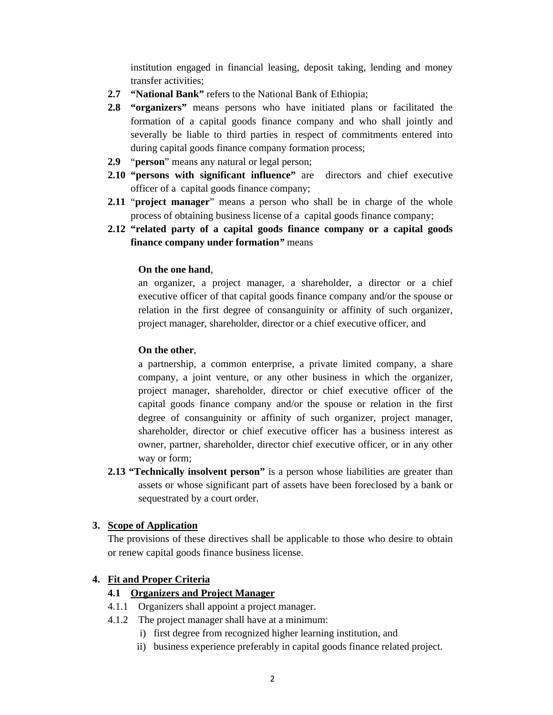institution engaged in financial leasing, deposit taking, lending and money transfer activities;

- **2.7 "National Bank"** refers to the National Bank of Ethiopia;
- **2.8 "organizers"** means persons who have initiated plans or facilitated the formation of a capital goods finance company and who shall jointly and severally be liable to third parties in respect of commitments entered into during capital goods finance company formation process;
- **2.9** "**person**" means any natural or legal person;
- **2.10 "persons with significant influence"** are directors and chief executive officer of a capital goods finance company;
- **2.11** "**project manager**" means a person who shall be in charge of the whole process of obtaining business license of a capital goods finance company;
- **2.12 "related party of a capital goods finance company or a capital goods finance company under formation***"* means

#### **On the one hand**,

an organizer, a project manager, a shareholder, a director or a chief executive officer of that capital goods finance company and/or the spouse or relation in the first degree of consanguinity or affinity of such organizer, project manager, shareholder, director or a chief executive officer, and

## **On the other**,

a partnership, a common enterprise, a private limited company, a share company, a joint venture, or any other business in which the organizer, project manager, shareholder, director or chief executive officer of the capital goods finance company and/or the spouse or relation in the first degree of consanguinity or affinity of such organizer, project manager, shareholder, director or chief executive officer has a business interest as owner, partner, shareholder, director chief executive officer, or in any other way or form;

**2.13 "Technically insolvent person"** is a person whose liabilities are greater than assets or whose significant part of assets have been foreclosed by a bank or sequestrated by a court order.

## **3. Scope of Application**

The provisions of these directives shall be applicable to those who desire to obtain or renew capital goods finance business license.

## **4. Fit and Proper Criteria**

## **4.1 Organizers and Project Manager**

- 4.1.1 Organizers shall appoint a project manager.
- 4.1.2 The project manager shall have at a minimum:
	- i) first degree from recognized higher learning institution, and
	- ii) business experience preferably in capital goods finance related project.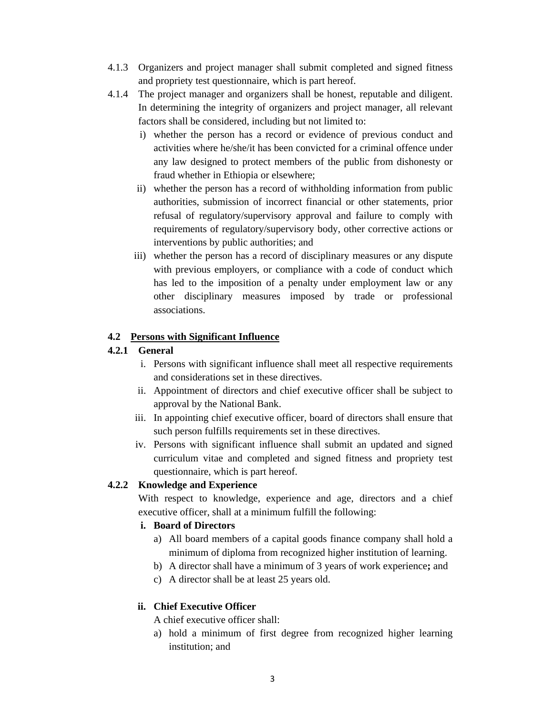- 4.1.3 Organizers and project manager shall submit completed and signed fitness and propriety test questionnaire, which is part hereof.
- 4.1.4 The project manager and organizers shall be honest, reputable and diligent. In determining the integrity of organizers and project manager, all relevant factors shall be considered, including but not limited to:
	- i) whether the person has a record or evidence of previous conduct and activities where he/she/it has been convicted for a criminal offence under any law designed to protect members of the public from dishonesty or fraud whether in Ethiopia or elsewhere;
	- ii) whether the person has a record of withholding information from public authorities, submission of incorrect financial or other statements, prior refusal of regulatory/supervisory approval and failure to comply with requirements of regulatory/supervisory body, other corrective actions or interventions by public authorities; and
	- iii) whether the person has a record of disciplinary measures or any dispute with previous employers, or compliance with a code of conduct which has led to the imposition of a penalty under employment law or any other disciplinary measures imposed by trade or professional associations.

## **4.2 Persons with Significant Influence**

## **4.2.1 General**

- i. Persons with significant influence shall meet all respective requirements and considerations set in these directives.
- ii. Appointment of directors and chief executive officer shall be subject to approval by the National Bank.
- iii. In appointing chief executive officer, board of directors shall ensure that such person fulfills requirements set in these directives.
- iv. Persons with significant influence shall submit an updated and signed curriculum vitae and completed and signed fitness and propriety test questionnaire, which is part hereof.

## **4.2.2 Knowledge and Experience**

With respect to knowledge, experience and age, directors and a chief executive officer, shall at a minimum fulfill the following:

## **i. Board of Directors**

- a) All board members of a capital goods finance company shall hold a minimum of diploma from recognized higher institution of learning.
- b) A director shall have a minimum of 3 years of work experience**;** and
- c) A director shall be at least 25 years old.

## **ii. Chief Executive Officer**

A chief executive officer shall:

a) hold a minimum of first degree from recognized higher learning institution; and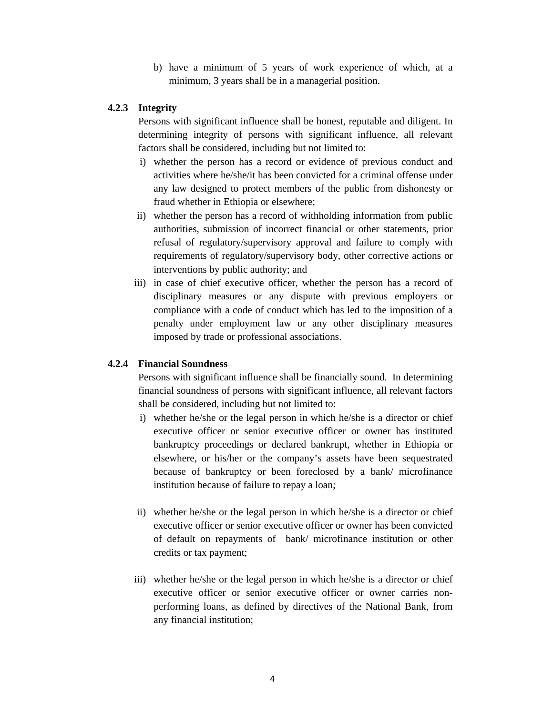b) have a minimum of 5 years of work experience of which, at a minimum, 3 years shall be in a managerial position.

#### **4.2.3 Integrity**

Persons with significant influence shall be honest, reputable and diligent. In determining integrity of persons with significant influence, all relevant factors shall be considered, including but not limited to:

- i) whether the person has a record or evidence of previous conduct and activities where he/she/it has been convicted for a criminal offense under any law designed to protect members of the public from dishonesty or fraud whether in Ethiopia or elsewhere;
- ii) whether the person has a record of withholding information from public authorities, submission of incorrect financial or other statements, prior refusal of regulatory/supervisory approval and failure to comply with requirements of regulatory/supervisory body, other corrective actions or interventions by public authority; and
- iii) in case of chief executive officer, whether the person has a record of disciplinary measures or any dispute with previous employers or compliance with a code of conduct which has led to the imposition of a penalty under employment law or any other disciplinary measures imposed by trade or professional associations.

## **4.2.4 Financial Soundness**

Persons with significant influence shall be financially sound. In determining financial soundness of persons with significant influence, all relevant factors shall be considered, including but not limited to:

- i) whether he/she or the legal person in which he/she is a director or chief executive officer or senior executive officer or owner has instituted bankruptcy proceedings or declared bankrupt, whether in Ethiopia or elsewhere, or his/her or the company's assets have been sequestrated because of bankruptcy or been foreclosed by a bank/ microfinance institution because of failure to repay a loan;
- ii) whether he/she or the legal person in which he/she is a director or chief executive officer or senior executive officer or owner has been convicted of default on repayments of bank/ microfinance institution or other credits or tax payment;
- iii) whether he/she or the legal person in which he/she is a director or chief executive officer or senior executive officer or owner carries nonperforming loans, as defined by directives of the National Bank, from any financial institution;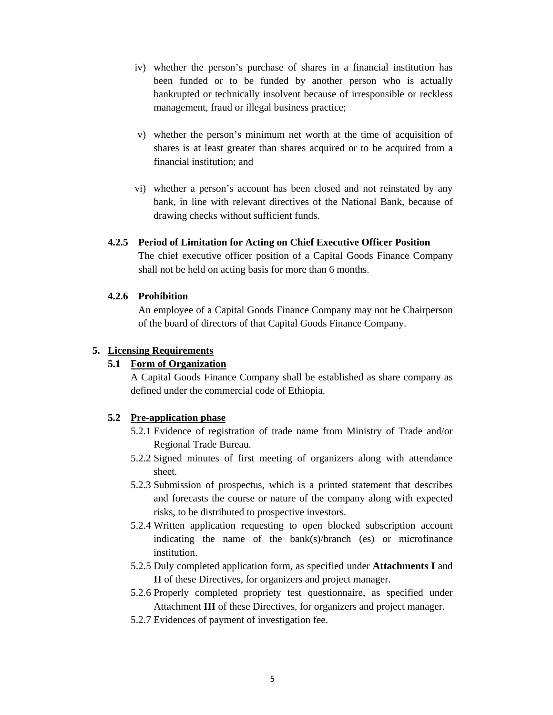- iv) whether the person's purchase of shares in a financial institution has been funded or to be funded by another person who is actually bankrupted or technically insolvent because of irresponsible or reckless management, fraud or illegal business practice;
- v) whether the person's minimum net worth at the time of acquisition of shares is at least greater than shares acquired or to be acquired from a financial institution; and
- vi) whether a person's account has been closed and not reinstated by any bank, in line with relevant directives of the National Bank, because of drawing checks without sufficient funds.

#### **4.2.5 Period of Limitation for Acting on Chief Executive Officer Position**

The chief executive officer position of a Capital Goods Finance Company shall not be held on acting basis for more than 6 months.

## **4.2.6 Prohibition**

An employee of a Capital Goods Finance Company may not be Chairperson of the board of directors of that Capital Goods Finance Company.

#### **5. Licensing Requirements**

## **5.1 Form of Organization**

A Capital Goods Finance Company shall be established as share company as defined under the commercial code of Ethiopia.

## **5.2 Pre-application phase**

- 5.2.1 Evidence of registration of trade name from Ministry of Trade and/or Regional Trade Bureau.
- 5.2.2 Signed minutes of first meeting of organizers along with attendance sheet.
- 5.2.3 Submission of prospectus, which is a printed statement that describes and forecasts the course or nature of the company along with expected risks, to be distributed to prospective investors.
- 5.2.4 Written application requesting to open blocked subscription account indicating the name of the bank(s)/branch (es) or microfinance institution.
- 5.2.5 Duly completed application form, as specified under **Attachments I** and **II** of these Directives, for organizers and project manager.
- 5.2.6 Properly completed propriety test questionnaire, as specified under Attachment **III** of these Directives, for organizers and project manager.
- 5.2.7 Evidences of payment of investigation fee.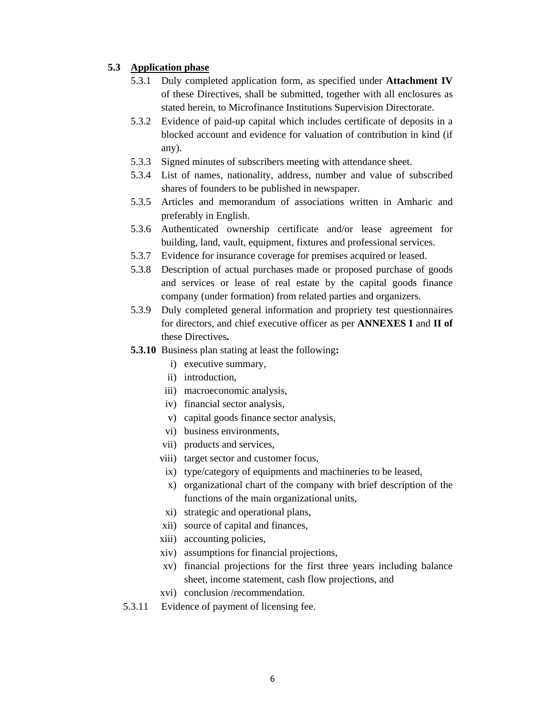#### **5.3 Application phase**

- 5.3.1 Duly completed application form, as specified under **Attachment IV**  of these Directives, shall be submitted, together with all enclosures as stated herein, to Microfinance Institutions Supervision Directorate.
- 5.3.2 Evidence of paid-up capital which includes certificate of deposits in a blocked account and evidence for valuation of contribution in kind (if any).
- 5.3.3 Signed minutes of subscribers meeting with attendance sheet.
- 5.3.4 List of names, nationality, address, number and value of subscribed shares of founders to be published in newspaper.
- 5.3.5 Articles and memorandum of associations written in Amharic and preferably in English.
- 5.3.6 Authenticated ownership certificate and/or lease agreement for building, land, vault, equipment, fixtures and professional services.
- 5.3.7 Evidence for insurance coverage for premises acquired or leased.
- 5.3.8 Description of actual purchases made or proposed purchase of goods and services or lease of real estate by the capital goods finance company (under formation) from related parties and organizers.
- 5.3.9 Duly completed general information and propriety test questionnaires for directors, and chief executive officer as per **ANNEXES I** and **II of**  these Directives**.**
- **5.3.10** Business plan stating at least the following**:** 
	- i) executive summary,
	- ii) introduction,
	- iii) macroeconomic analysis,
	- iv) financial sector analysis,
	- v) capital goods finance sector analysis,
	- vi) business environments,
	- vii) products and services,
	- viii) target sector and customer focus,
	- ix) type/category of equipments and machineries to be leased,
	- x) organizational chart of the company with brief description of the functions of the main organizational units,
	- xi) strategic and operational plans,
	- xii) source of capital and finances,
	- xiii) accounting policies,
	- xiv) assumptions for financial projections,
	- xv) financial projections for the first three years including balance sheet, income statement, cash flow projections, and
	- xvi) conclusion /recommendation.
- 5.3.11 Evidence of payment of licensing fee.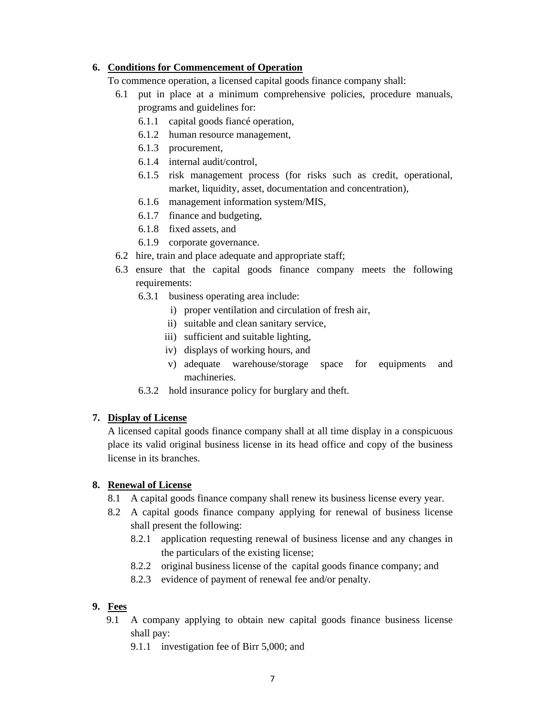## **6. Conditions for Commencement of Operation**

To commence operation, a licensed capital goods finance company shall:

- 6.1 put in place at a minimum comprehensive policies, procedure manuals, programs and guidelines for:
	- 6.1.1 capital goods fiancé operation,
	- 6.1.2 human resource management,
	- 6.1.3 procurement,
	- 6.1.4 internal audit/control,
	- 6.1.5 risk management process (for risks such as credit, operational, market, liquidity, asset, documentation and concentration),
	- 6.1.6 management information system/MIS,
	- 6.1.7 finance and budgeting,
	- 6.1.8 fixed assets, and
	- 6.1.9 corporate governance.
- 6.2 hire, train and place adequate and appropriate staff;
- 6.3 ensure that the capital goods finance company meets the following requirements:
	- 6.3.1 business operating area include:
		- i) proper ventilation and circulation of fresh air,
		- ii) suitable and clean sanitary service,
		- iii) sufficient and suitable lighting,
		- iv) displays of working hours, and
		- v) adequate warehouse/storage space for equipments and machineries.
	- 6.3.2 hold insurance policy for burglary and theft.

#### **7. Display of License**

A licensed capital goods finance company shall at all time display in a conspicuous place its valid original business license in its head office and copy of the business license in its branches.

## **8. Renewal of License**

- 8.1 A capital goods finance company shall renew its business license every year.
- 8.2 A capital goods finance company applying for renewal of business license shall present the following:
	- 8.2.1 application requesting renewal of business license and any changes in the particulars of the existing license;
	- 8.2.2 original business license of the capital goods finance company; and
	- 8.2.3 evidence of payment of renewal fee and/or penalty.

## **9. Fees**

- 9.1 A company applying to obtain new capital goods finance business license shall pay:
	- 9.1.1 investigation fee of Birr 5,000; and